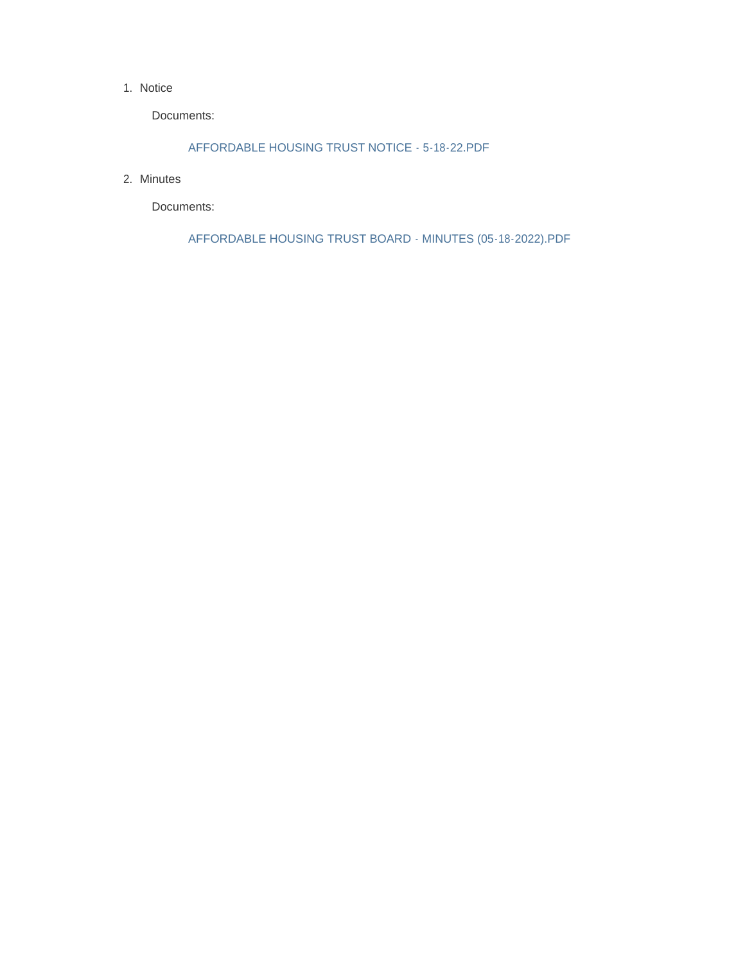#### 1. Notice

Documents:

AFFORDABLE HOUSING TRUST NOTICE - 5-18-22.PDF

2. Minutes

Documents:

AFFORDABLE HOUSING TRUST BOARD - MINUTES (05-18-2022).PDF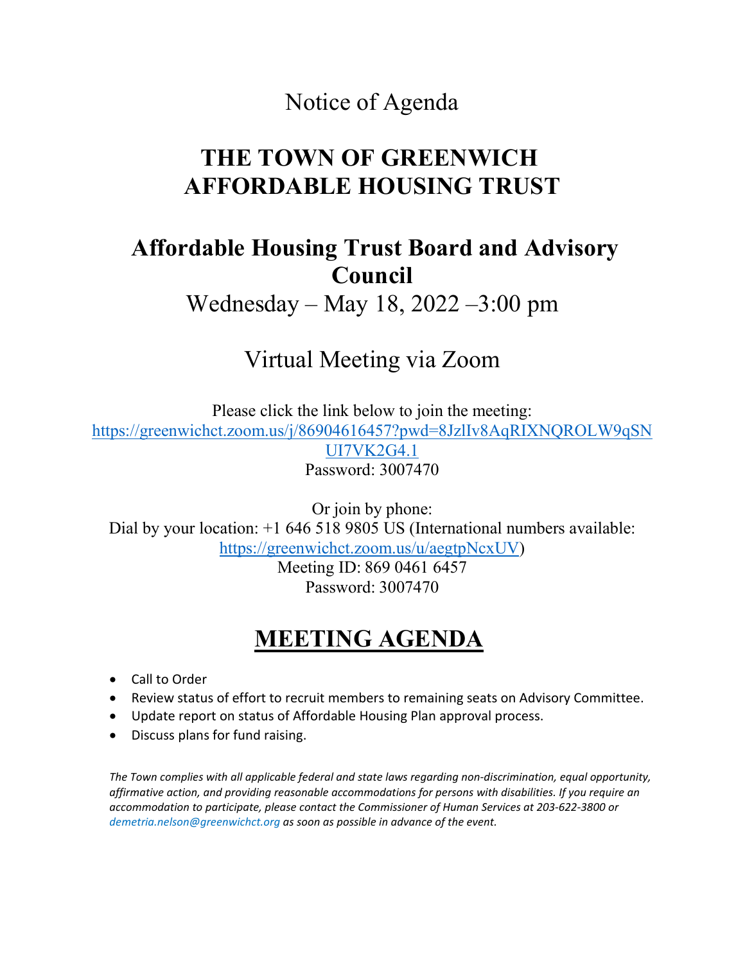## Notice of Agenda

# **THE TOWN OF GREENWICH AFFORDABLE HOUSING TRUST**

## **Affordable Housing Trust Board and Advisory Council**

Wednesday – May 18, 2022 –3:00 pm

# Virtual Meeting via Zoom

Please click the link below to join the meeting: https://greenwichct.zoom.us/j/86904616457?pwd=8JzlIv8AqRIXNQROLW9qSN UI7VK2G4.1 Password: 3007470

Or join by phone: Dial by your location:  $+1$  646 518 9805 US (International numbers available: [https://greenwichct.zoom.us/u/aegtpNcxUV\)](https://greenwichct.zoom.us/u/aegtpNcxUV)

> Meeting ID: 869 0461 6457 Password: 3007470

# **MEETING AGENDA**

- Call to Order
- Review status of effort to recruit members to remaining seats on Advisory Committee.
- Update report on status of Affordable Housing Plan approval process.
- Discuss plans for fund raising.

*The Town complies with all applicable federal and state laws regarding non-discrimination, equal opportunity, affirmative action, and providing reasonable accommodations for persons with disabilities. If you require an accommodation to participate, please contact the Commissioner of Human Services at 203-622-3800 or demetria.nelson@greenwichct.org as soon as possible in advance of the event.*